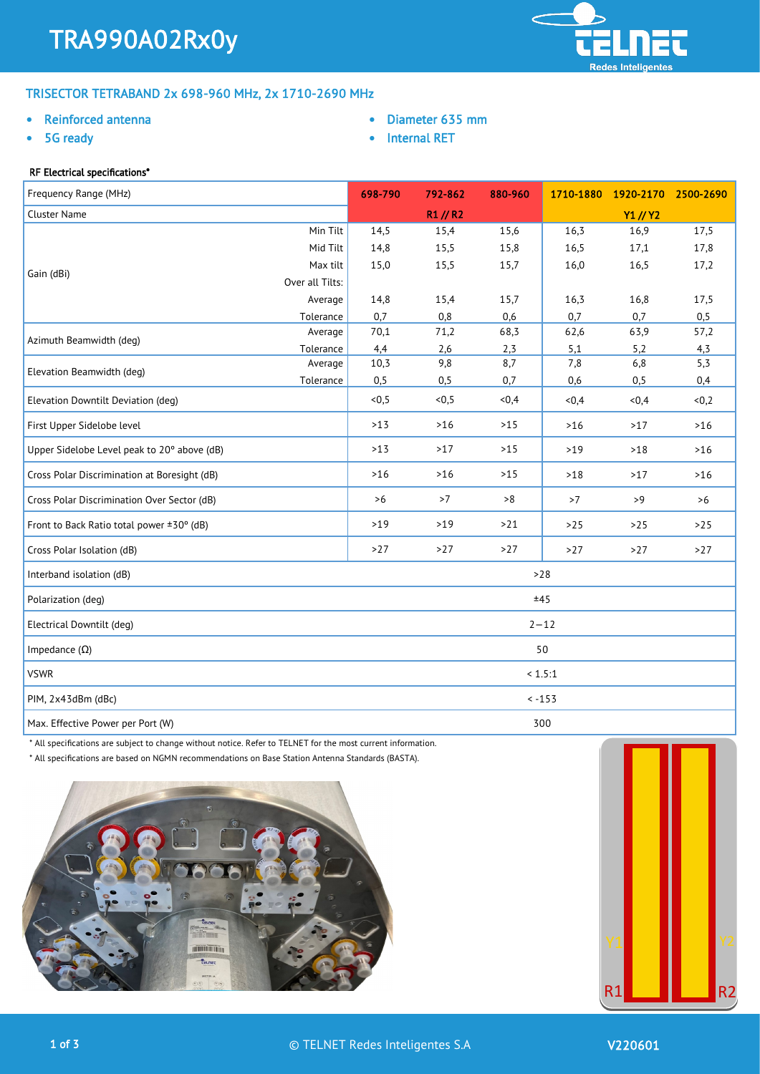

# TRISECTOR TETRABAND 2x 698-960 MHz, 2x 1710-2690 MHz

## • Reinforced antenna

5G ready

- Diameter 635 mm
- Internal RET

# RF Electrical specifications\*

| Frequency Range (MHz)                        |                 | 698-790 | 792-862  | 880-960 | 1710-1880 | 1920-2170 | 2500-2690 |
|----------------------------------------------|-----------------|---------|----------|---------|-----------|-----------|-----------|
| Cluster Name                                 |                 |         | R1 // R2 |         |           | Y1 // Y2  |           |
|                                              | Min Tilt        | 14,5    | 15,4     | 15,6    | 16,3      | 16,9      | 17,5      |
|                                              | Mid Tilt        | 14,8    | 15,5     | 15,8    | 16,5      | 17,1      | 17,8      |
| Gain (dBi)                                   | Max tilt        | 15,0    | 15,5     | 15,7    | 16,0      | 16,5      | 17,2      |
|                                              | Over all Tilts: |         |          |         |           |           |           |
|                                              | Average         | 14,8    | 15,4     | 15,7    | 16,3      | 16,8      | 17,5      |
|                                              | Tolerance       | 0,7     | 0,8      | 0,6     | 0,7       | 0,7       | 0,5       |
| Azimuth Beamwidth (deg)                      | Average         | 70,1    | 71,2     | 68,3    | 62,6      | 63,9      | 57,2      |
|                                              | Tolerance       | 4,4     | 2,6      | 2,3     | 5,1       | 5,2       | 4,3       |
| Elevation Beamwidth (deg)                    | Average         | 10,3    | 9,8      | 8,7     | 7,8       | 6,8       | 5,3       |
|                                              | Tolerance       | 0,5     | 0,5      | 0,7     | 0,6       | 0,5       | 0,4       |
| Elevation Downtilt Deviation (deg)           |                 | <0,5    | <0,5     | <0,4    | <0,4      | <0,4      | <0,2      |
| First Upper Sidelobe level                   |                 | $>13$   | $>16$    | $>15$   | $>16$     | >17       | $>16$     |
| Upper Sidelobe Level peak to 20° above (dB)  |                 | $>13$   | >17      | $>15$   | $>19$     | $>18$     | $>16$     |
| Cross Polar Discrimination at Boresight (dB) |                 | $>16$   | $>16$    | $>15$   | $>18$     | $>17$     | $>16$     |
| Cross Polar Discrimination Over Sector (dB)  |                 | >6      | >7       | >8      | >7        | >9        | >6        |
| Front to Back Ratio total power ±30° (dB)    |                 | $>19$   | $>19$    | $>21$   | $>25$     | $>25$     | $>25$     |
| Cross Polar Isolation (dB)                   |                 | >27     | $>27$    | >27     | $>27$     | >27       | >27       |
| Interband isolation (dB)                     |                 |         |          |         | $>28$     |           |           |
| Polarization (deg)                           |                 |         |          |         | ±45       |           |           |
| Electrical Downtilt (deg)                    |                 |         |          |         | $2 - 12$  |           |           |
| Impedance $(\Omega)$                         |                 |         |          |         | 50        |           |           |
| <b>VSWR</b>                                  |                 |         |          |         | < 1.5:1   |           |           |
| PIM, 2x43dBm (dBc)                           |                 |         |          |         | $< -153$  |           |           |
| Max. Effective Power per Port (W)            |                 |         |          |         | 300       |           |           |

\* All specifications are subject to change without notice. Refer to TELNET for the most current information.

\* All specifications are based on NGMN recommendations on Base Station Antenna Standards (BASTA).





ı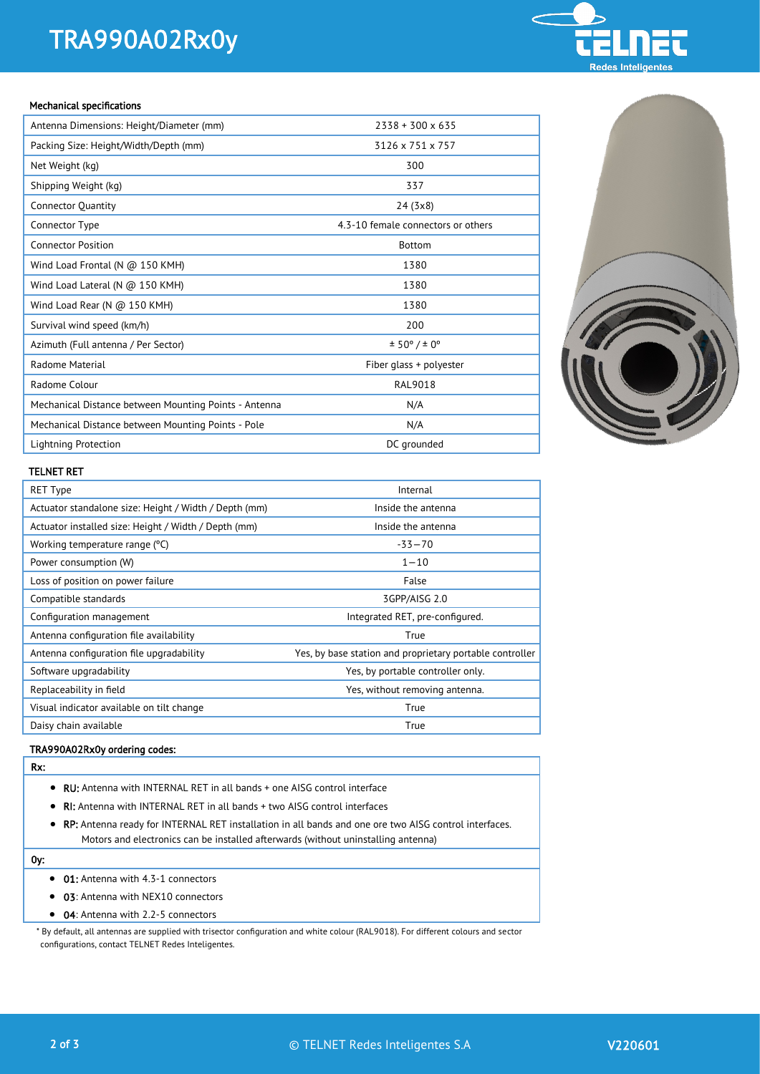# TRA990A02Rx0y



#### Mechanical specifications

| Antenna Dimensions: Height/Diameter (mm)              | $2338 + 300 \times 635$            |
|-------------------------------------------------------|------------------------------------|
| Packing Size: Height/Width/Depth (mm)                 | 3126 x 751 x 757                   |
| Net Weight (kg)                                       | 300                                |
| Shipping Weight (kg)                                  | 337                                |
| <b>Connector Quantity</b>                             | 24 (3x8)                           |
| Connector Type                                        | 4.3-10 female connectors or others |
| <b>Connector Position</b>                             | <b>Bottom</b>                      |
| Wind Load Frontal (N $@$ 150 KMH)                     | 1380                               |
| Wind Load Lateral (N $@$ 150 KMH)                     | 1380                               |
| Wind Load Rear (N @ 150 KMH)                          | 1380                               |
| Survival wind speed (km/h)                            | 200                                |
| Azimuth (Full antenna / Per Sector)                   | ± 50° / ± 0°                       |
| Radome Material                                       | Fiber glass + polyester            |
| Radome Colour                                         | <b>RAL9018</b>                     |
| Mechanical Distance between Mounting Points - Antenna | N/A                                |
| Mechanical Distance between Mounting Points - Pole    | N/A                                |
| Lightning Protection                                  | DC grounded                        |



### TELNET RET

| <b>RET Type</b>                                       | Internal                                                 |
|-------------------------------------------------------|----------------------------------------------------------|
| Actuator standalone size: Height / Width / Depth (mm) | Inside the antenna                                       |
| Actuator installed size: Height / Width / Depth (mm)  | Inside the antenna                                       |
| Working temperature range (°C)                        | $-33 - 70$                                               |
| Power consumption (W)                                 | $1 - 10$                                                 |
| Loss of position on power failure                     | False                                                    |
| Compatible standards                                  | 3GPP/AISG 2.0                                            |
| Configuration management                              | Integrated RET, pre-configured.                          |
| Antenna configuration file availability               | True                                                     |
| Antenna configuration file upgradability              | Yes, by base station and proprietary portable controller |
| Software upgradability                                | Yes, by portable controller only.                        |
| Replaceability in field                               | Yes, without removing antenna.                           |
| Visual indicator available on tilt change             | True                                                     |
| Daisy chain available                                 | True                                                     |

## TRA990A02Rx0y ordering codes:

- Rx:
	- RU: Antenna with INTERNAL RET in all bands + one AISG control interface
	- RI: Antenna with INTERNAL RET in all bands + two AISG control interfaces
	- RP: Antenna ready for INTERNAL RET installation in all bands and one ore two AISG control interfaces. Motors and electronics can be installed afterwards (without uninstalling antenna)

## 0y:

- 01: Antenna with 4.3-1 connectors
- 03: Antenna with NEX10 connectors
- 04: Antenna with 2.2-5 connectors

\* By default, all antennas are supplied with trisector configuration and white colour (RAL9018). For different colours and sector configurations, contact TELNET Redes Inteligentes.